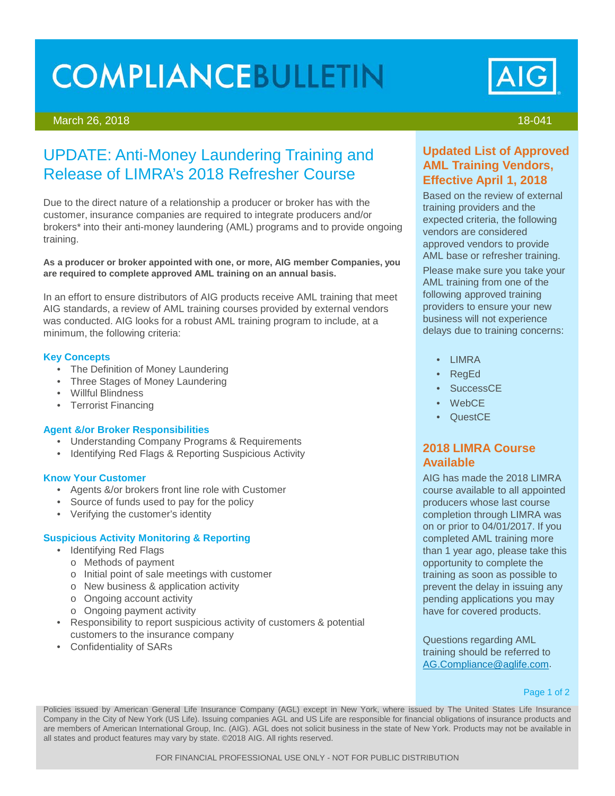# **COMPLIANCEBULLETIN**

## March 26, 2018 18-041

# UPDATE: Anti-Money Laundering Training and Release of LIMRA's 2018 Refresher Course

Due to the direct nature of a relationship a producer or broker has with the customer, insurance companies are required to integrate producers and/or brokers\* into their anti-money laundering (AML) programs and to provide ongoing training.

**As a producer or broker appointed with one, or more, AIG member Companies, you are required to complete approved AML training on an annual basis.** 

In an effort to ensure distributors of AIG products receive AML training that meet AIG standards, a review of AML training courses provided by external vendors was conducted. AIG looks for a robust AML training program to include, at a minimum, the following criteria:

#### **Key Concepts**

- The Definition of Money Laundering
- Three Stages of Money Laundering
- Willful Blindness
- Terrorist Financing

#### **Agent &/or Broker Responsibilities**

- Understanding Company Programs & Requirements
- Identifying Red Flags & Reporting Suspicious Activity

#### **Know Your Customer**

- Agents &/or brokers front line role with Customer
- Source of funds used to pay for the policy
- Verifying the customer's identity

## **Suspicious Activity Monitoring & Reporting**

- Identifying Red Flags
	- o Methods of payment
	- o Initial point of sale meetings with customer
	- o New business & application activity
	- o Ongoing account activity
	- o Ongoing payment activity
- Responsibility to report suspicious activity of customers & potential customers to the insurance company
- Confidentiality of SARs

# **Updated List of Approved AML Training Vendors, Effective April 1, 2018**

Based on the review of external training providers and the expected criteria, the following vendors are considered approved vendors to provide AML base or refresher training.

Please make sure you take your AML training from one of the following approved training providers to ensure your new business will not experience delays due to training concerns:

- LIMRA
- RegEd
- SuccessCE
- WebCE
- QuestCE

# **2018 LIMRA Course Available**

AIG has made the 2018 LIMRA course available to all appointed producers whose last course completion through LIMRA was on or prior to 04/01/2017. If you completed AML training more than 1 year ago, please take this opportunity to complete the training as soon as possible to prevent the delay in issuing any pending applications you may have for covered products.

Questions regarding AML training should be referred to [AG.Compliance@aglife.com.](mailto:AG.Compliance@aglife.com)

#### Page 1 of 2

Policies issued by American General Life Insurance Company (AGL) except in New York, where issued by The United States Life Insurance Company in the City of New York (US Life). Issuing companies AGL and US Life are responsible for financial obligations of insurance products and are members of American International Group, Inc. (AIG). AGL does not solicit business in the state of New York. Products may not be available in all states and product features may vary by state. ©2018 AIG. All rights reserved.